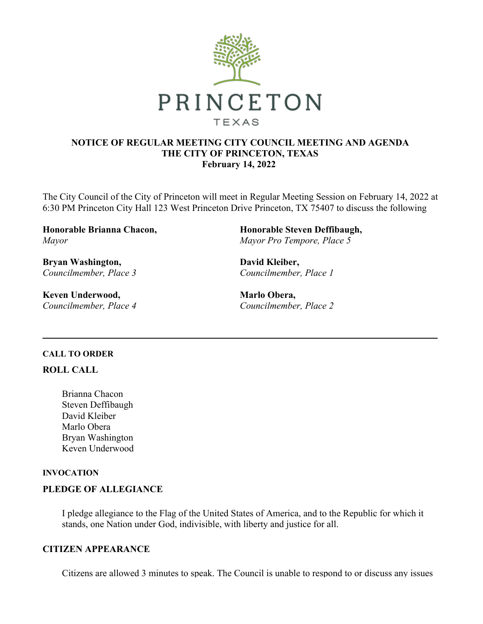

# **NOTICE OF REGULAR MEETING CITY COUNCIL MEETING AND AGENDA THE CITY OF PRINCETON, TEXAS February 14, 2022**

The City Council of the City of Princeton will meet in Regular Meeting Session on February 14, 2022 at 6:30 PM Princeton City Hall 123 West Princeton Drive Princeton, TX 75407 to discuss the following

**Honorable Brianna Chacon,** *Mayor*

**Bryan Washington,** *Councilmember, Place 3*

**Keven Underwood,** *Councilmember, Place 4* **Honorable Steven Deffibaugh,** *Mayor Pro Tempore, Place 5*

**David Kleiber,** *Councilmember, Place 1*

**Marlo Obera,** *Councilmember, Place 2*

## **CALL TO ORDER**

## **ROLL CALL**

Brianna Chacon Steven Deffibaugh David Kleiber Marlo Obera Bryan Washington Keven Underwood

## **INVOCATION**

## **PLEDGE OF ALLEGIANCE**

I pledge allegiance to the Flag of the United States of America, and to the Republic for which it stands, one Nation under God, indivisible, with liberty and justice for all.

## **CITIZEN APPEARANCE**

Citizens are allowed 3 minutes to speak. The Council is unable to respond to or discuss any issues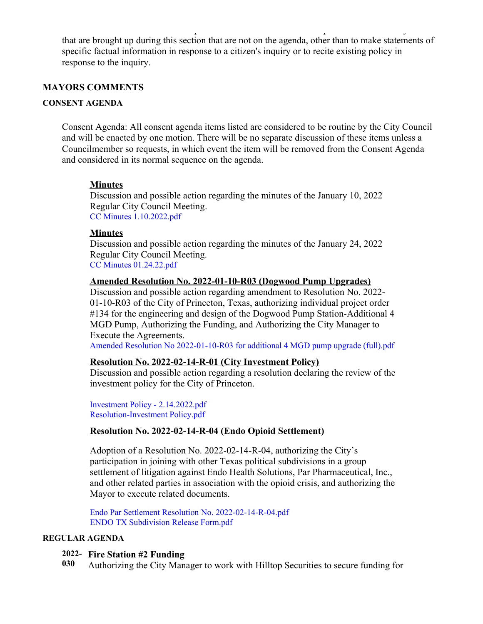that are brought up during this section that are not on the agenda, other than to make statements of specific factual information in response to a citizen's inquiry or to recite existing policy in response to the inquiry.

Citizens are allowed 3 minutes to speak. The Council is unable to respond to or discuss any issues

## **MAYORS COMMENTS**

### **CONSENT AGENDA**

Consent Agenda: All consent agenda items listed are considered to be routine by the City Council and will be enacted by one motion. There will be no separate discussion of these items unless a Councilmember so requests, in which event the item will be removed from the Consent Agenda and considered in its normal sequence on the agenda.

### **Minutes**

Discussion and possible action regarding the minutes of the January 10, 2022 Regular City Council Meeting. [CC Minutes 1.10.2022.pdf](https://legistarweb-production.s3.amazonaws.com/uploads/attachment/pdf/1242684/CC_Minutes_1.10.2022.pdf)

### **Minutes**

Discussion and possible action regarding the minutes of the January 24, 2022 Regular City Council Meeting. [CC Minutes 01.24.22.pdf](https://legistarweb-production.s3.amazonaws.com/uploads/attachment/pdf/1242604/CC_Minutes_01.24.22.pdf)

### **Amended Resolution No. 2022-01-10-R03 (Dogwood Pump Upgrades)**

Discussion and possible action regarding amendment to Resolution No. 2022- 01-10-R03 of the City of Princeton, Texas, authorizing individual project order #134 for the engineering and design of the Dogwood Pump Station-Additional 4 MGD Pump, Authorizing the Funding, and Authorizing the City Manager to Execute the Agreements.

[Amended Resolution No 2022-01-10-R03 for additional 4 MGD pump upgrade \(full\).pdf](https://legistarweb-production.s3.amazonaws.com/uploads/attachment/pdf/1237293/Amended_Resolution_No_2022-01-10-R03_for_additional_4_MGD_pump_upgrade__full_.pdf)

### **Resolution No. 2022-02-14-R-01 (City Investment Policy)**

Discussion and possible action regarding a resolution declaring the review of the investment policy for the City of Princeton.

[Investment Policy - 2.14.2022.pdf](https://legistarweb-production.s3.amazonaws.com/uploads/attachment/pdf/1239073/Investment_Policy_-_2.14.2022.pdf) [Resolution-Investment Policy.pdf](https://legistarweb-production.s3.amazonaws.com/uploads/attachment/pdf/1239546/Resolution-Investment_Policy.pdf)

### **Resolution No. 2022-02-14-R-04 (Endo Opioid Settlement)**

Adoption of a Resolution No. 2022-02-14-R-04, authorizing the City's participation in joining with other Texas political subdivisions in a group settlement of litigation against Endo Health Solutions, Par Pharmaceutical, Inc., and other related parties in association with the opioid crisis, and authorizing the Mayor to execute related documents.

[Endo Par Settlement Resolution No. 2022-02-14-R-04.pdf](https://legistarweb-production.s3.amazonaws.com/uploads/attachment/pdf/1245731/Endo_Par_Settlement_Resolution_No._2022-02-14-R-04.pdf) [ENDO TX Subdivision Release Form.pdf](https://legistarweb-production.s3.amazonaws.com/uploads/attachment/pdf/1245732/ENDO_TX_Subdivision_Release_Form.pdf)

## **REGULAR AGENDA**

### **2022- Fire Station #2 Funding**

**030** Authorizing the City Manager to work with Hilltop Securities to secure funding for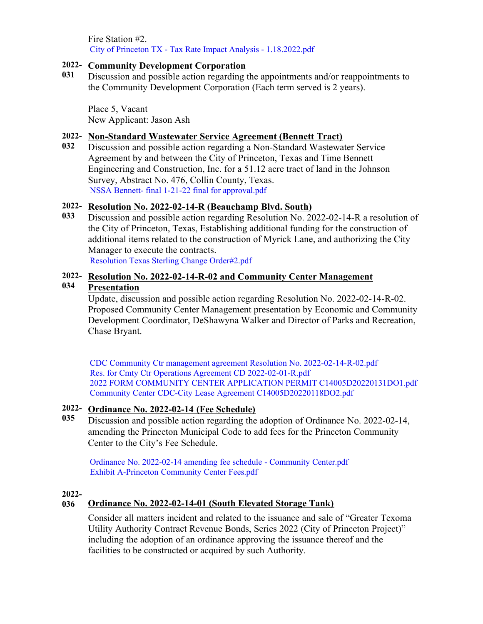Fire Station #2. [City of Princeton TX - Tax Rate Impact Analysis - 1.18.2022.pdf](https://legistarweb-production.s3.amazonaws.com/uploads/attachment/pdf/1245783/City_of_Princeton_TX_-_Tax_Rate_Impact_Analysis_-_1.18.2022.pdf)

## **2022- Community Development Corporation**

**031** Discussion and possible action regarding the appointments and/or reappointments to the Community Development Corporation (Each term served is 2 years).

Place 5, Vacant New Applicant: Jason Ash

## **2022- Non-Standard Wastewater Service Agreement (Bennett Tract)**

**032** Discussion and possible action regarding a Non-Standard Wastewater Service Agreement by and between the City of Princeton, Texas and Time Bennett Engineering and Construction, Inc. for a 51.12 acre tract of land in the Johnson Survey, Abstract No. 476, Collin County, Texas. [NSSA Bennett- final 1-21-22 final for approval.pdf](https://legistarweb-production.s3.amazonaws.com/uploads/attachment/pdf/1237286/NSSA_Bennett-_final_1-21-22_final_for_approval.pdf)

### **2022- Resolution No. 2022-02-14-R (Beauchamp Blvd. South)**

**033** Discussion and possible action regarding Resolution No. 2022-02-14-R a resolution of the City of Princeton, Texas, Establishing additional funding for the construction of additional items related to the construction of Myrick Lane, and authorizing the City Manager to execute the contracts.

[Resolution Texas Sterling Change Order#2.pdf](https://legistarweb-production.s3.amazonaws.com/uploads/attachment/pdf/1237288/Resolution_Texas_Sterling_Change_Order_2.pdf)

# **2022- Resolution No. 2022-02-14-R-02 and Community Center Management**

#### **034 Presentation**

Update, discussion and possible action regarding Resolution No. 2022-02-14-R-02. Proposed Community Center Management presentation by Economic and Community Development Coordinator, DeShawyna Walker and Director of Parks and Recreation, Chase Bryant.

[CDC Community Ctr management agreement Resolution No. 2022-02-14-R-02.pdf](https://legistarweb-production.s3.amazonaws.com/uploads/attachment/pdf/1246341/CDC_Community_Ctr_management_agreement_Resolution_No._2022-02-14-R-02.pdf) [Res. for Cmty Ctr Operations Agreement CD 2022-02-01-R.pdf](https://legistarweb-production.s3.amazonaws.com/uploads/attachment/pdf/1242512/Res._for_Cmty_Ctr_Operations_Agreement_CD_2022-02-01-R.pdf) [2022 FORM COMMUNITY CENTER APPLICATION PERMIT C14005D20220131DO1.pdf](https://legistarweb-production.s3.amazonaws.com/uploads/attachment/pdf/1242513/2022_FORM_COMMUNITY_CENTER_APPLICATION_PERMIT_C14005D20220131DO1.pdf) [Community Center CDC-City Lease Agreement C14005D20220118DO2.pdf](https://legistarweb-production.s3.amazonaws.com/uploads/attachment/pdf/1242514/Community_Center_CDC-City_Lease_Agreement_C14005D20220118DO2.pdf)

# **2022- Ordinance No. 2022-02-14 (Fee Schedule)**

**035** Discussion and possible action regarding the adoption of Ordinance No. 2022-02-14, amending the Princeton Municipal Code to add fees for the Princeton Community Center to the City's Fee Schedule.

[Ordinance No. 2022-02-14 amending fee schedule - Community Center.pdf](https://legistarweb-production.s3.amazonaws.com/uploads/attachment/pdf/1239690/Ordinance_No._2022-02-14_amending_fee_schedule_-_Community_Center.pdf) [Exhibit A-Princeton Community Center Fees.pdf](https://legistarweb-production.s3.amazonaws.com/uploads/attachment/pdf/1243972/Exhibit_A-Princeton_Community_Center_Fees.pdf)

### **2022-**

## **036 Ordinance No. 2022-02-14-01 (South Elevated Storage Tank)**

Consider all matters incident and related to the issuance and sale of "Greater Texoma Utility Authority Contract Revenue Bonds, Series 2022 (City of Princeton Project)" including the adoption of an ordinance approving the issuance thereof and the facilities to be constructed or acquired by such Authority.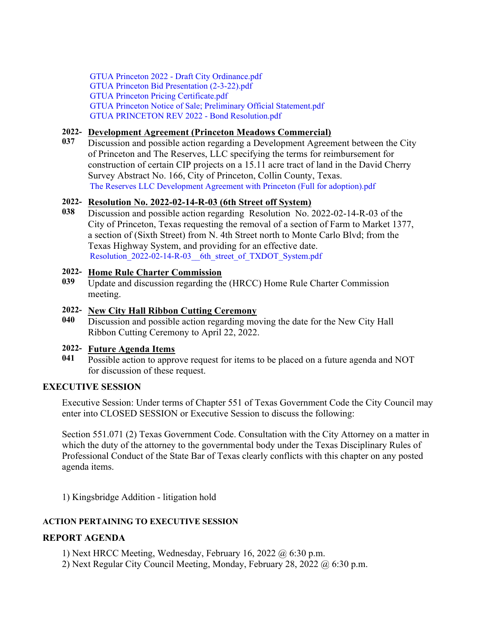[GTUA Princeton 2022 - Draft City Ordinance.pdf](https://legistarweb-production.s3.amazonaws.com/uploads/attachment/pdf/1241304/GTUA_Princeton_2022_-_Draft_City_Ordinance.pdf) [GTUA Princeton Bid Presentation \(2-3-22\).pdf](https://legistarweb-production.s3.amazonaws.com/uploads/attachment/pdf/1239572/GTUA_Princeton_Bid_Presentation__2-3-22_.pdf) [GTUA Princeton Pricing Certificate.pdf](https://legistarweb-production.s3.amazonaws.com/uploads/attachment/pdf/1241301/GTUA_Princeton_Pricing_Certificate.pdf) [GTUA Princeton Notice of Sale; Preliminary Official Statement.pdf](https://legistarweb-production.s3.amazonaws.com/uploads/attachment/pdf/1241302/GTUA_Princeton_Notice_of_Sale__Preliminary_Official_Statement.pdf) [GTUA PRINCETON REV 2022 - Bond Resolution.pdf](https://legistarweb-production.s3.amazonaws.com/uploads/attachment/pdf/1241303/GTUA_PRINCETON_REV_2022_-_Bond_Resolution.pdf)

# **2022- Development Agreement (Princeton Meadows Commercial)**

**037** Discussion and possible action regarding a Development Agreement between the City of Princeton and The Reserves, LLC specifying the terms for reimbursement for construction of certain CIP projects on a 15.11 acre tract of land in the David Cherry Survey Abstract No. 166, City of Princeton, Collin County, Texas. [The Reserves LLC Development Agreement with Princeton \(Full for adoption\).pdf](https://legistarweb-production.s3.amazonaws.com/uploads/attachment/pdf/1244858/The_Reserves_LLC_Development_Agreement_with_Princeton__Full_for_adoption_.pdf)

## **2022- Resolution No. 2022-02-14-R-03 (6th Street off System)**

**038** Discussion and possible action regarding Resolution No. 2022-02-14-R-03 of the City of Princeton, Texas requesting the removal of a section of Farm to Market 1377, a section of (Sixth Street) from N. 4th Street north to Monte Carlo Blvd; from the Texas Highway System, and providing for an effective date. Resolution 2022-02-14-R-03 6th street of TXDOT System.pdf

# **2022- Home Rule Charter Commission**

**039** Update and discussion regarding the (HRCC) Home Rule Charter Commission meeting.

# **2022- New City Hall Ribbon Cutting Ceremony**

**040** Discussion and possible action regarding moving the date for the New City Hall Ribbon Cutting Ceremony to April 22, 2022.

# **2022- Future Agenda Items**

**041** Possible action to approve request for items to be placed on a future agenda and NOT for discussion of these request.

# **EXECUTIVE SESSION**

Executive Session: Under terms of Chapter 551 of Texas Government Code the City Council may enter into CLOSED SESSION or Executive Session to discuss the following:

Section 551.071 (2) Texas Government Code. Consultation with the City Attorney on a matter in which the duty of the attorney to the governmental body under the Texas Disciplinary Rules of Professional Conduct of the State Bar of Texas clearly conflicts with this chapter on any posted agenda items.

1) Kingsbridge Addition - litigation hold

# **ACTION PERTAINING TO EXECUTIVE SESSION**

# **REPORT AGENDA**

- 1) Next HRCC Meeting, Wednesday, February 16, 2022 @ 6:30 p.m.
- 2) Next Regular City Council Meeting, Monday, February 28, 2022 @ 6:30 p.m.